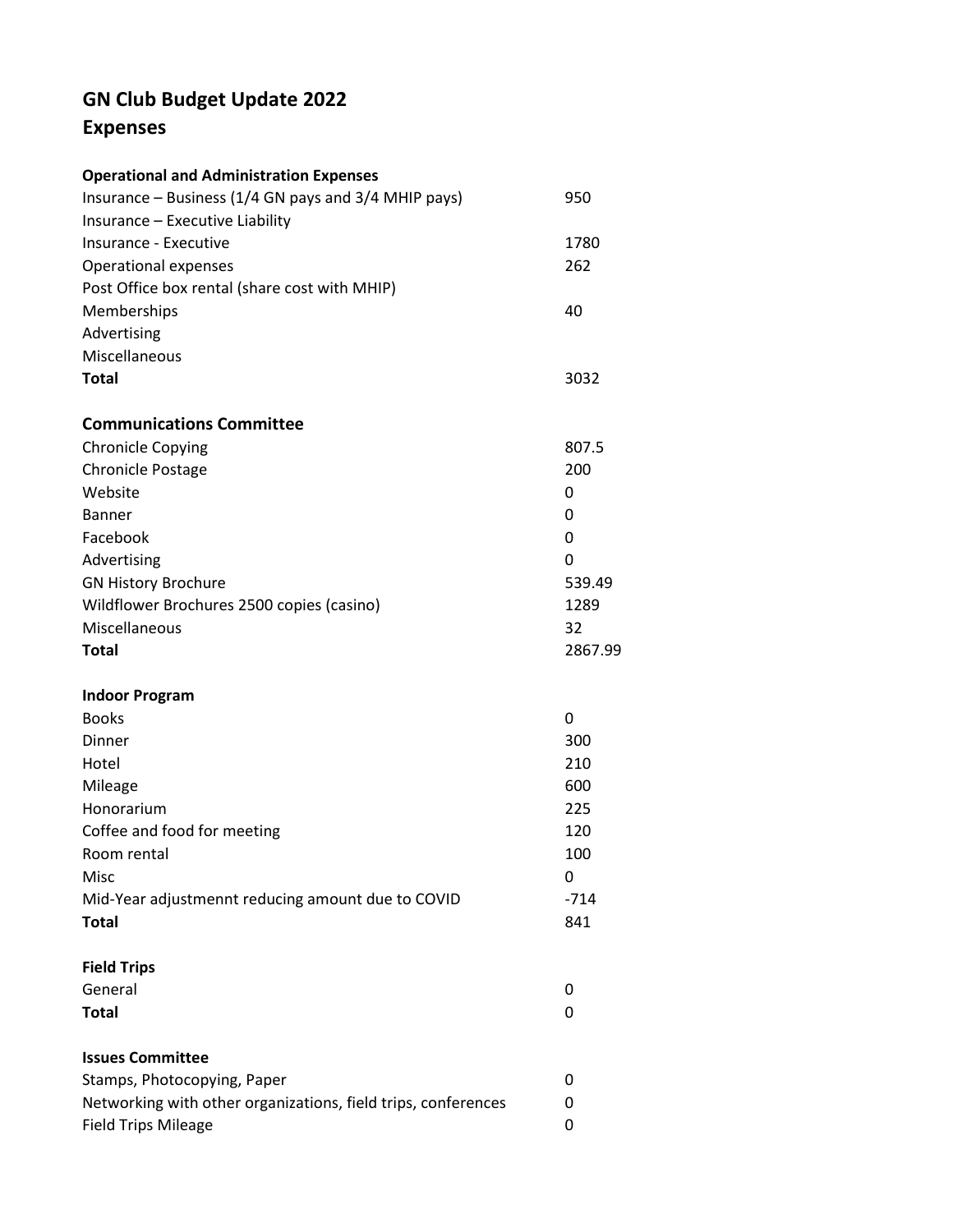## **GN Club Budget Update 2022 Expenses**

| <b>Operational and Administration Expenses</b>                                               |                |                                 |       |
|----------------------------------------------------------------------------------------------|----------------|---------------------------------|-------|
| Insurance - Business (1/4 GN pays and 3/4 MHIP pays)                                         | 950            |                                 |       |
| Insurance - Executive Liability                                                              |                |                                 |       |
| Insurance - Executive                                                                        | 1780           |                                 |       |
| <b>Operational expenses</b>                                                                  | 262            |                                 |       |
| Post Office box rental (share cost with MHIP)<br>Memberships<br>Advertising<br>Miscellaneous | 40             |                                 |       |
|                                                                                              |                | <b>Total</b>                    | 3032  |
|                                                                                              |                | <b>Communications Committee</b> |       |
|                                                                                              |                | <b>Chronicle Copying</b>        | 807.5 |
| <b>Chronicle Postage</b>                                                                     | 200            |                                 |       |
| Website                                                                                      | 0              |                                 |       |
| <b>Banner</b>                                                                                | 0              |                                 |       |
| Facebook                                                                                     | 0              |                                 |       |
| Advertising                                                                                  | 0              |                                 |       |
| <b>GN History Brochure</b><br>Wildflower Brochures 2500 copies (casino)                      | 539.49<br>1289 |                                 |       |
|                                                                                              |                | Miscellaneous                   | 32    |
| <b>Total</b>                                                                                 | 2867.99        |                                 |       |
| <b>Indoor Program</b>                                                                        |                |                                 |       |
| <b>Books</b>                                                                                 | 0              |                                 |       |
| Dinner                                                                                       | 300            |                                 |       |
| Hotel                                                                                        | 210            |                                 |       |
| Mileage                                                                                      | 600            |                                 |       |
| Honorarium                                                                                   | 225            |                                 |       |
| Coffee and food for meeting                                                                  | 120            |                                 |       |
| Room rental                                                                                  | 100            |                                 |       |
| Misc                                                                                         | 0              |                                 |       |
| Mid-Year adjustmennt reducing amount due to COVID                                            | $-714$         |                                 |       |
| <b>Total</b>                                                                                 | 841            |                                 |       |
| <b>Field Trips</b>                                                                           |                |                                 |       |
| General                                                                                      | 0              |                                 |       |
| <b>Total</b>                                                                                 | 0              |                                 |       |
| <b>Issues Committee</b>                                                                      |                |                                 |       |
| Stamps, Photocopying, Paper                                                                  | 0              |                                 |       |
| Networking with other organizations, field trips, conferences                                | 0              |                                 |       |
| <b>Field Trips Mileage</b>                                                                   | 0              |                                 |       |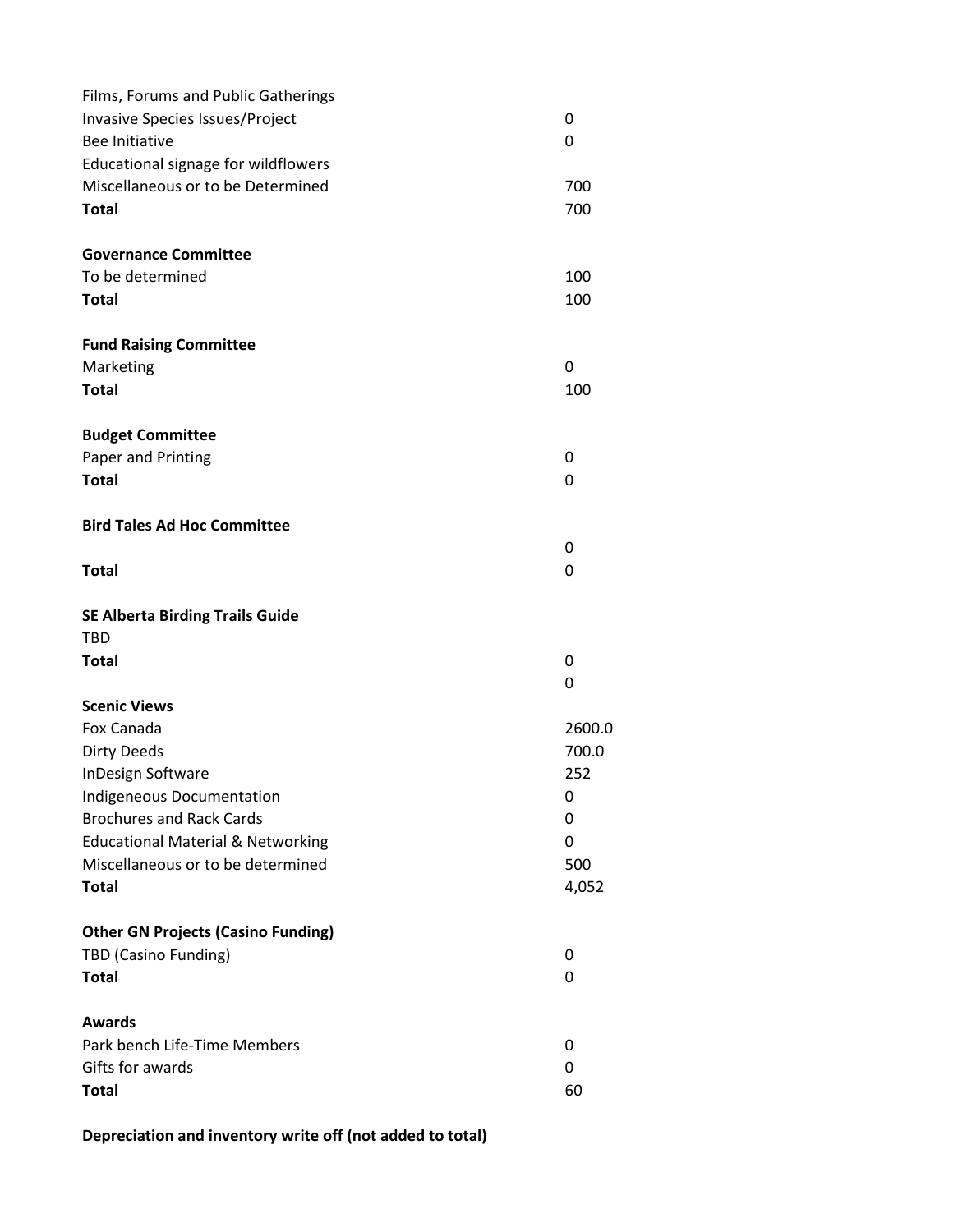| Films, Forums and Public Gatherings          |        |
|----------------------------------------------|--------|
| Invasive Species Issues/Project              | 0      |
| Bee Initiative                               | 0      |
| Educational signage for wildflowers          |        |
| Miscellaneous or to be Determined            | 700    |
| <b>Total</b>                                 | 700    |
|                                              |        |
| <b>Governance Committee</b>                  |        |
| To be determined                             | 100    |
| <b>Total</b>                                 | 100    |
|                                              |        |
| <b>Fund Raising Committee</b>                |        |
| Marketing                                    | 0      |
| <b>Total</b>                                 | 100    |
| <b>Budget Committee</b>                      |        |
| Paper and Printing                           | 0      |
| <b>Total</b>                                 | 0      |
| <b>Bird Tales Ad Hoc Committee</b>           |        |
|                                              | 0      |
| <b>Total</b>                                 | 0      |
| <b>SE Alberta Birding Trails Guide</b>       |        |
| <b>TBD</b>                                   |        |
| <b>Total</b>                                 | 0      |
|                                              | 0      |
| <b>Scenic Views</b>                          |        |
| Fox Canada                                   | 2600.0 |
| <b>Dirty Deeds</b>                           | 700.0  |
| InDesign Software                            | 252    |
| Indigeneous Documentation                    | 0      |
| <b>Brochures and Rack Cards</b>              | 0      |
| <b>Educational Material &amp; Networking</b> | 0      |
| Miscellaneous or to be determined            | 500    |
| <b>Total</b>                                 | 4,052  |
| <b>Other GN Projects (Casino Funding)</b>    |        |
| TBD (Casino Funding)                         | 0      |
| <b>Total</b>                                 | 0      |
|                                              |        |
| <b>Awards</b>                                |        |
| Park bench Life-Time Members                 | 0      |
| Gifts for awards                             | 0      |
| <b>Total</b>                                 | 60     |

**Depreciation and inventory write off (not added to total)**